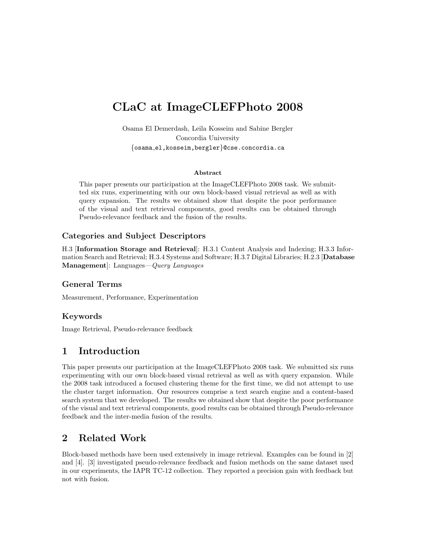# CLaC at ImageCLEFPhoto 2008

Osama El Demerdash, Leila Kosseim and Sabine Bergler Concordia University {osama el,kosseim,bergler}@cse.concordia.ca

#### Abstract

This paper presents our participation at the ImageCLEFPhoto 2008 task. We submitted six runs, experimenting with our own block-based visual retrieval as well as with query expansion. The results we obtained show that despite the poor performance of the visual and text retrieval components, good results can be obtained through Pseudo-relevance feedback and the fusion of the results.

#### Categories and Subject Descriptors

H.3 [Information Storage and Retrieval]: H.3.1 Content Analysis and Indexing; H.3.3 Information Search and Retrieval; H.3.4 Systems and Software; H.3.7 Digital Libraries; H.2.3 [Database Management]: Languages—Query Languages

#### General Terms

Measurement, Performance, Experimentation

#### Keywords

Image Retrieval, Pseudo-relevance feedback

# 1 Introduction

This paper presents our participation at the ImageCLEFPhoto 2008 task. We submitted six runs experimenting with our own block-based visual retrieval as well as with query expansion. While the 2008 task introduced a focused clustering theme for the first time, we did not attempt to use the cluster target information. Our resources comprise a text search engine and a content-based search system that we developed. The results we obtained show that despite the poor performance of the visual and text retrieval components, good results can be obtained through Pseudo-relevance feedback and the inter-media fusion of the results.

# 2 Related Work

Block-based methods have been used extensively in image retrieval. Examples can be found in [2] and [4]. [3] investigated pseudo-relevance feedback and fusion methods on the same dataset used in our experiments, the IAPR TC-12 collection. They reported a precision gain with feedback but not with fusion.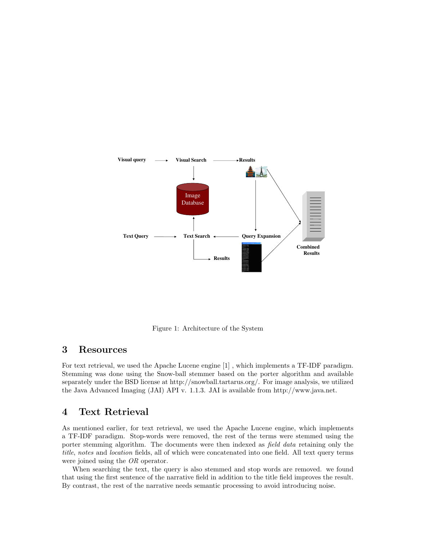

Figure 1: Architecture of the System

## 3 Resources

For text retrieval, we used the Apache Lucene engine [1] , which implements a TF-IDF paradigm. Stemming was done using the Snow-ball stemmer based on the porter algorithm and available separately under the BSD license at http://snowball.tartarus.org/. For image analysis, we utilized the Java Advanced Imaging (JAI) API v. 1.1.3. JAI is available from http://www.java.net.

## 4 Text Retrieval

As mentioned earlier, for text retrieval, we used the Apache Lucene engine, which implements a TF-IDF paradigm. Stop-words were removed, the rest of the terms were stemmed using the porter stemming algorithm. The documents were then indexed as *field data* retaining only the title, notes and location fields, all of which were concatenated into one field. All text query terms were joined using the OR operator.

When searching the text, the query is also stemmed and stop words are removed. we found that using the first sentence of the narrative field in addition to the title field improves the result. By contrast, the rest of the narrative needs semantic processing to avoid introducing noise.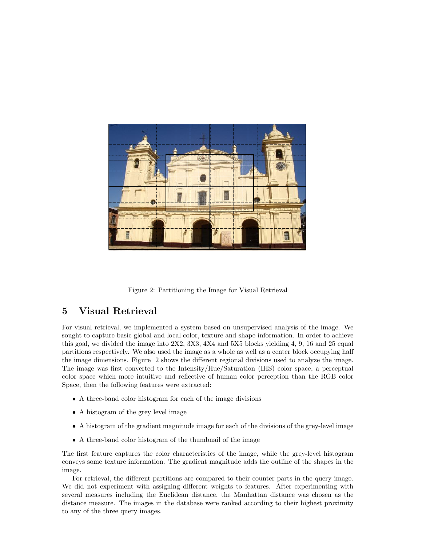

Figure 2: Partitioning the Image for Visual Retrieval

## 5 Visual Retrieval

For visual retrieval, we implemented a system based on unsupervised analysis of the image. We sought to capture basic global and local color, texture and shape information. In order to achieve this goal, we divided the image into 2X2, 3X3, 4X4 and 5X5 blocks yielding 4, 9, 16 and 25 equal partitions respectively. We also used the image as a whole as well as a center block occupying half the image dimensions. Figure 2 shows the different regional divisions used to analyze the image. The image was first converted to the Intensity/Hue/Saturation (IHS) color space, a perceptual color space which more intuitive and reflective of human color perception than the RGB color Space, then the following features were extracted:

- A three-band color histogram for each of the image divisions
- A histogram of the grey level image
- A histogram of the gradient magnitude image for each of the divisions of the grey-level image
- A three-band color histogram of the thumbnail of the image

The first feature captures the color characteristics of the image, while the grey-level histogram conveys some texture information. The gradient magnitude adds the outline of the shapes in the image.

For retrieval, the different partitions are compared to their counter parts in the query image. We did not experiment with assigning different weights to features. After experimenting with several measures including the Euclidean distance, the Manhattan distance was chosen as the distance measure. The images in the database were ranked according to their highest proximity to any of the three query images.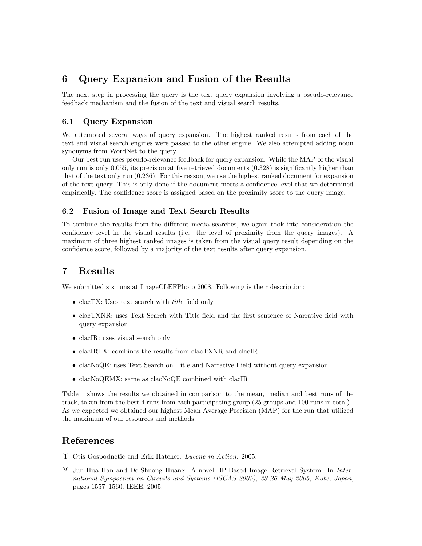# 6 Query Expansion and Fusion of the Results

The next step in processing the query is the text query expansion involving a pseudo-relevance feedback mechanism and the fusion of the text and visual search results.

#### 6.1 Query Expansion

We attempted several ways of query expansion. The highest ranked results from each of the text and visual search engines were passed to the other engine. We also attempted adding noun synonyms from WordNet to the query.

Our best run uses pseudo-relevance feedback for query expansion. While the MAP of the visual only run is only 0.055, its precision at five retrieved documents (0.328) is significantly higher than that of the text only run (0.236). For this reason, we use the highest ranked document for expansion of the text query. This is only done if the document meets a confidence level that we determined empirically. The confidence score is assigned based on the proximity score to the query image.

#### 6.2 Fusion of Image and Text Search Results

To combine the results from the different media searches, we again took into consideration the confidence level in the visual results (i.e. the level of proximity from the query images). A maximum of three highest ranked images is taken from the visual query result depending on the confidence score, followed by a majority of the text results after query expansion.

## 7 Results

We submitted six runs at ImageCLEFPhoto 2008. Following is their description:

- clacTX: Uses text search with *title* field only
- clacTXNR: uses Text Search with Title field and the first sentence of Narrative field with query expansion
- clacIR: uses visual search only
- clacIRTX: combines the results from clacTXNR and clacIR
- clacNoQE: uses Text Search on Title and Narrative Field without query expansion
- clacNoQEMX: same as clacNoQE combined with clacIR

Table 1 shows the results we obtained in comparison to the mean, median and best runs of the track, taken from the best 4 runs from each participating group (25 groups and 100 runs in total) . As we expected we obtained our highest Mean Average Precision (MAP) for the run that utilized the maximum of our resources and methods.

# References

- [1] Otis Gospodnetic and Erik Hatcher. Lucene in Action. 2005.
- [2] Jun-Hua Han and De-Shuang Huang. A novel BP-Based Image Retrieval System. In International Symposium on Circuits and Systems (ISCAS 2005), 23-26 May 2005, Kobe, Japan, pages 1557–1560. IEEE, 2005.